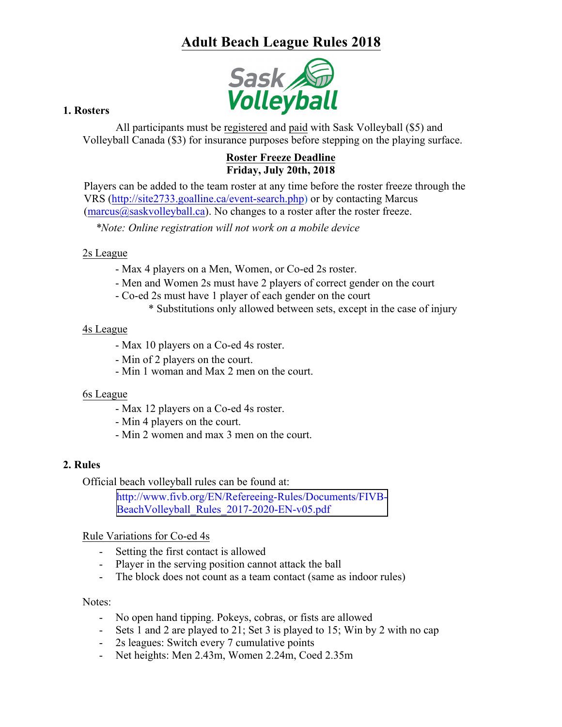# **Adult Beach League Rules 2018**



# **1. Rosters**

All participants must be registered and paid with Sask Volleyball (\$5) and Volleyball Canada (\$3) for insurance purposes before stepping on the playing surface.

#### **Roster Freeze Deadline Friday, July 20th, 2018**

Players can be added to the team roster at any time before the roster freeze through the VRS (http://site2733.goalline.ca/event-search.php) or by contacting Marcus  $(maxus@saskvollevball.ca)$ . No changes to a roster after the roster freeze.

*\*Note: Online registration will not work on a mobile device*

# 2s League

- Max 4 players on a Men, Women, or Co-ed 2s roster.
- Men and Women 2s must have 2 players of correct gender on the court
- Co-ed 2s must have 1 player of each gender on the court
	- \* Substitutions only allowed between sets, except in the case of injury

# 4s League

- Max 10 players on a Co-ed 4s roster.
- Min of 2 players on the court.
- Min 1 woman and Max 2 men on the court.

#### 6s League

- Max 12 players on a Co-ed 4s roster.
- Min 4 players on the court.
- Min 2 women and max 3 men on the court.

# **2. Rules**

Official beach volleyball rules can be found at:

[http://www.fivb.org/EN/Refereeing-Rules/Documents/FIVB-](http://www.fivb.org/EN/Refereeing-Rules/Documents/FIVB-BeachVolleyball_Rules_2017-2020-EN-v05.pdf)BeachVolleyball\_Rules\_2017-2020-EN-v05.pdf

# Rule Variations for Co-ed 4s

- Setting the first contact is allowed
- Player in the serving position cannot attack the ball
- The block does not count as a team contact (same as indoor rules)

#### Notes:

- No open hand tipping. Pokeys, cobras, or fists are allowed
- Sets 1 and 2 are played to 21; Set 3 is played to 15; Win by 2 with no cap
- 2s leagues: Switch every 7 cumulative points
- Net heights: Men 2.43m, Women 2.24m, Coed 2.35m